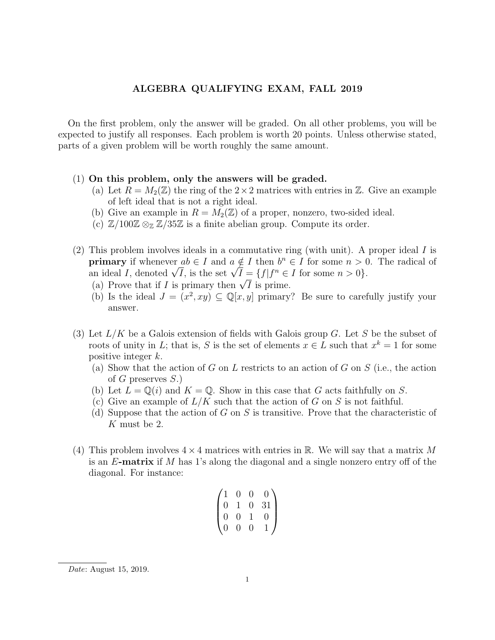## ALGEBRA QUALIFYING EXAM, FALL 2019

On the first problem, only the answer will be graded. On all other problems, you will be expected to justify all responses. Each problem is worth 20 points. Unless otherwise stated, parts of a given problem will be worth roughly the same amount.

## (1) On this problem, only the answers will be graded.

- (a) Let  $R = M_2(\mathbb{Z})$  the ring of the  $2 \times 2$  matrices with entries in  $\mathbb{Z}$ . Give an example of left ideal that is not a right ideal.
- (b) Give an example in  $R = M_2(\mathbb{Z})$  of a proper, nonzero, two-sided ideal.
- (c)  $\mathbb{Z}/100\mathbb{Z} \otimes_{\mathbb{Z}} \mathbb{Z}/35\mathbb{Z}$  is a finite abelian group. Compute its order.
- (2) This problem involves ideals in a commutative ring (with unit). A proper ideal I is **primary** if whenever  $ab \in I$  and  $a \notin I$  then  $b^n \in I$  for some  $n > 0$ . The radical of **primary** if whenever  $ab \in I$  and  $a \notin I$  then  $b^{\circ} \in I$  for some  $n > 0$ .<br>an ideal I, denoted  $\sqrt{I}$ , is the set  $\sqrt{I} = \{f | f^n \in I \text{ for some } n > 0\}$ .
	- (a) Prove that if I is primary then  $\sqrt{I}$  is prime.
	- (b) Is the ideal  $J = (x^2, xy) \subseteq \mathbb{Q}[x, y]$  primary? Be sure to carefully justify your answer.
- (3) Let  $L/K$  be a Galois extension of fields with Galois group G. Let S be the subset of roots of unity in L; that is, S is the set of elements  $x \in L$  such that  $x^k = 1$  for some positive integer k.
	- (a) Show that the action of G on L restricts to an action of G on S (i.e., the action of G preserves  $S.$ )
	- (b) Let  $L = \mathbb{Q}(i)$  and  $K = \mathbb{Q}$ . Show in this case that G acts faithfully on S.
	- (c) Give an example of  $L/K$  such that the action of G on S is not faithful.
	- (d) Suppose that the action of G on S is transitive. Prove that the characteristic of K must be 2.
- (4) This problem involves  $4 \times 4$  matrices with entries in R. We will say that a matrix M is an  $E$ -matrix if  $M$  has 1's along the diagonal and a single nonzero entry off of the diagonal. For instance:

$$
\begin{pmatrix}\n1 & 0 & 0 & 0 \\
0 & 1 & 0 & 31 \\
0 & 0 & 1 & 0 \\
0 & 0 & 0 & 1\n\end{pmatrix}
$$

Date: August 15, 2019.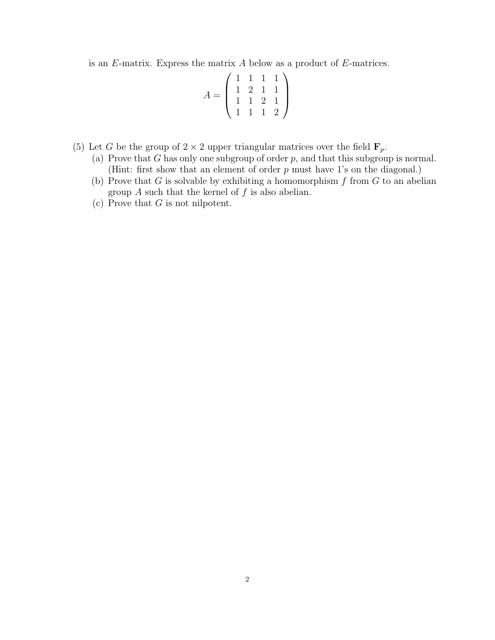is an  $E$ -matrix. Express the matrix  $A$  below as a product of  $E$ -matrices.

$$
A = \left(\begin{array}{rrr} 1 & 1 & 1 & 1 \\ 1 & 2 & 1 & 1 \\ 1 & 1 & 2 & 1 \\ 1 & 1 & 1 & 2 \end{array}\right)
$$

- (5) Let G be the group of  $2 \times 2$  upper triangular matrices over the field  $\mathbf{F}_p$ .
	- (a) Prove that G has only one subgroup of order  $p$ , and that this subgroup is normal. (Hint: first show that an element of order p must have 1's on the diagonal.)
	- (b) Prove that G is solvable by exhibiting a homomorphism  $f$  from  $G$  to an abelian group  $A$  such that the kernel of  $f$  is also abelian.
	- (c) Prove that  $G$  is not nilpotent.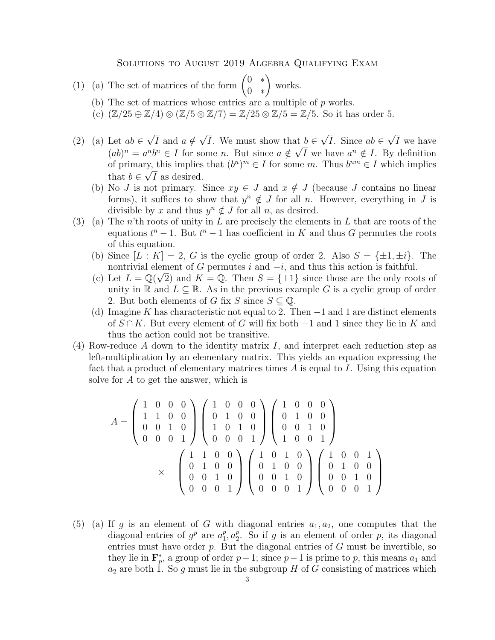## Solutions to August 2019 Algebra Qualifying Exam

(1) (a) The set of matrices of the form 
$$
\begin{pmatrix} 0 & * \\ 0 & * \end{pmatrix}
$$
 works.

- (b) The set of matrices whose entries are a multiple of  $p$  works.
- (c)  $(\mathbb{Z}/25 \oplus \mathbb{Z}/4) \otimes (\mathbb{Z}/5 \otimes \mathbb{Z}/7) = \mathbb{Z}/25 \otimes \mathbb{Z}/5 = \mathbb{Z}/5$ . So it has order 5.
- (2) (a) Let  $ab \in$ √ I and  $a \notin$ √ I. We must show that  $b \in$ √ *I*. Since  $ab \in$ √ at  $b \in \sqrt{I}$ . Since  $ab \in \sqrt{I}$  we have  $(ab)^n = a^n b^n \in I$  for some n. But since  $a \notin \sqrt{I}$  we have  $a^n \notin I$ . By definition of primary, this implies that  $(b^n)^m \in I$  for some m. Thus  $b^{nm} \in I$  which implies that  $b \in \sqrt{I}$  as desired.
	- (b) No J is not primary. Since  $xy \in J$  and  $x \notin J$  (because J contains no linear forms), it suffices to show that  $y^n \notin J$  for all n. However, everything in J is divisible by x and thus  $y^n \notin J$  for all n, as desired.
- (3) (a) The n'th roots of unity in L are precisely the elements in L that are roots of the equations  $t^n - 1$ . But  $t^n - 1$  has coefficient in K and thus G permutes the roots of this equation.
	- (b) Since  $[L: K] = 2$ , G is the cyclic group of order 2. Also  $S = \{\pm 1, \pm i\}$ . The nontrivial element of G permutes i and  $-i$ , and thus this action is faithful.
	- (c) Let  $L = \mathbb{Q}(\sqrt{2})$  and  $K = \mathbb{Q}$ . Then  $S = \{\pm 1\}$  since those are the only roots of unity in R and  $L \subseteq \mathbb{R}$ . As in the previous example G is a cyclic group of order 2. But both elements of G fix S since  $S \subseteq \mathbb{Q}$ .
	- (d) Imagine K has characteristic not equal to 2. Then  $-1$  and 1 are distinct elements of  $S \cap K$ . But every element of G will fix both  $-1$  and 1 since they lie in K and thus the action could not be transitive.
- (4) Row-reduce  $A$  down to the identity matrix  $I$ , and interpret each reduction step as left-multiplication by an elementary matrix. This yields an equation expressing the fact that a product of elementary matrices times  $A$  is equal to  $I$ . Using this equation solve for A to get the answer, which is

$$
A = \begin{pmatrix} 1 & 0 & 0 & 0 \\ 1 & 1 & 0 & 0 \\ 0 & 0 & 1 & 0 \\ 0 & 0 & 0 & 1 \end{pmatrix} \begin{pmatrix} 1 & 0 & 0 & 0 \\ 0 & 1 & 0 & 0 \\ 1 & 0 & 1 & 0 \\ 0 & 0 & 0 & 1 \end{pmatrix} \begin{pmatrix} 1 & 0 & 0 & 0 \\ 0 & 1 & 0 & 0 \\ 0 & 0 & 1 & 0 \\ 1 & 0 & 0 & 1 \end{pmatrix}
$$

$$
\times \qquad \qquad \begin{pmatrix} 1 & 1 & 0 & 0 \\ 0 & 1 & 0 & 0 \\ 0 & 0 & 1 & 0 \\ 0 & 0 & 0 & 1 \end{pmatrix} \begin{pmatrix} 1 & 0 & 1 & 0 \\ 0 & 1 & 0 & 0 \\ 0 & 0 & 1 & 0 \\ 0 & 0 & 0 & 1 \end{pmatrix} \begin{pmatrix} 1 & 0 & 0 & 1 \\ 0 & 1 & 0 & 0 \\ 0 & 0 & 1 & 0 \\ 0 & 0 & 0 & 1 \end{pmatrix}
$$

(5) (a) If g is an element of G with diagonal entries  $a_1, a_2$ , one computes that the diagonal entries of  $g^p$  are  $a_1^p$  $_1^p$ ,  $a_2^p$  $_2^p$ . So if g is an element of order p, its diagonal entries must have order  $p$ . But the diagonal entries of  $G$  must be invertible, so they lie in  $\mathbf{F}_p^*$ , a group of order  $p-1$ ; since  $p-1$  is prime to p, this means  $a_1$  and  $a_2$  are both 1. So g must lie in the subgroup H of G consisting of matrices which